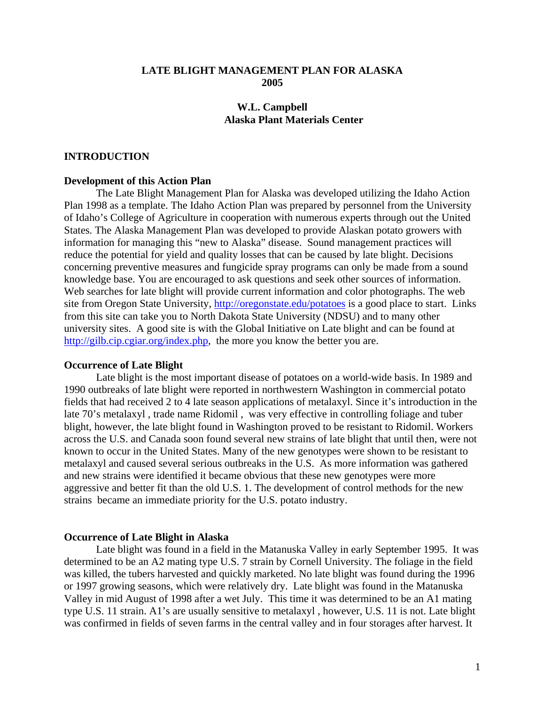# **LATE BLIGHT MANAGEMENT PLAN FOR ALASKA 2005**

# **W.L. Campbell Alaska Plant Materials Center**

# **INTRODUCTION**

# **Development of this Action Plan**

The Late Blight Management Plan for Alaska was developed utilizing the Idaho Action Plan 1998 as a template. The Idaho Action Plan was prepared by personnel from the University of Idaho's College of Agriculture in cooperation with numerous experts through out the United States. The Alaska Management Plan was developed to provide Alaskan potato growers with information for managing this "new to Alaska" disease. Sound management practices will reduce the potential for yield and quality losses that can be caused by late blight. Decisions concerning preventive measures and fungicide spray programs can only be made from a sound knowledge base. You are encouraged to ask questions and seek other sources of information. Web searches for late blight will provide current information and color photographs. The web site from Oregon State University, http://oregonstate.edu/potatoes is a good place to start. Links from this site can take you to North Dakota State University (NDSU) and to many other university sites. A good site is with the Global Initiative on Late blight and can be found at http://gilb.cip.cgiar.org/index.php, the more you know the better you are.

#### **Occurrence of Late Blight**

Late blight is the most important disease of potatoes on a world-wide basis. In 1989 and 1990 outbreaks of late blight were reported in northwestern Washington in commercial potato fields that had received 2 to 4 late season applications of metalaxyl. Since it's introduction in the late 70's metalaxyl , trade name Ridomil , was very effective in controlling foliage and tuber blight, however, the late blight found in Washington proved to be resistant to Ridomil. Workers across the U.S. and Canada soon found several new strains of late blight that until then, were not known to occur in the United States. Many of the new genotypes were shown to be resistant to metalaxyl and caused several serious outbreaks in the U.S. As more information was gathered and new strains were identified it became obvious that these new genotypes were more aggressive and better fit than the old U.S. 1. The development of control methods for the new strains became an immediate priority for the U.S. potato industry.

#### **Occurrence of Late Blight in Alaska**

Late blight was found in a field in the Matanuska Valley in early September 1995. It was determined to be an A2 mating type U.S. 7 strain by Cornell University. The foliage in the field was killed, the tubers harvested and quickly marketed. No late blight was found during the 1996 or 1997 growing seasons, which were relatively dry. Late blight was found in the Matanuska Valley in mid August of 1998 after a wet July. This time it was determined to be an A1 mating type U.S. 11 strain. A1's are usually sensitive to metalaxyl , however, U.S. 11 is not. Late blight was confirmed in fields of seven farms in the central valley and in four storages after harvest. It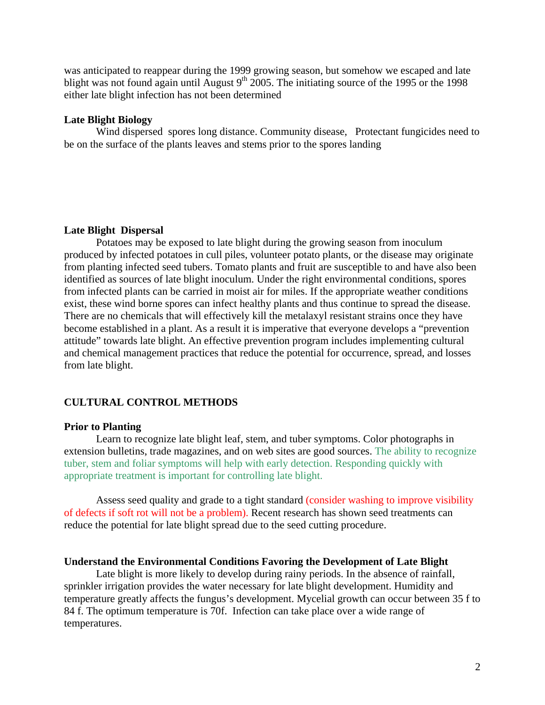was anticipated to reappear during the 1999 growing season, but somehow we escaped and late blight was not found again until August  $9<sup>th</sup>$  2005. The initiating source of the 1995 or the 1998 either late blight infection has not been determined

# **Late Blight Biology**

Wind dispersed spores long distance. Community disease, Protectant fungicides need to be on the surface of the plants leaves and stems prior to the spores landing

#### **Late Blight Dispersal**

Potatoes may be exposed to late blight during the growing season from inoculum produced by infected potatoes in cull piles, volunteer potato plants, or the disease may originate from planting infected seed tubers. Tomato plants and fruit are susceptible to and have also been identified as sources of late blight inoculum. Under the right environmental conditions, spores from infected plants can be carried in moist air for miles. If the appropriate weather conditions exist, these wind borne spores can infect healthy plants and thus continue to spread the disease. There are no chemicals that will effectively kill the metalaxyl resistant strains once they have become established in a plant. As a result it is imperative that everyone develops a "prevention attitude" towards late blight. An effective prevention program includes implementing cultural and chemical management practices that reduce the potential for occurrence, spread, and losses from late blight.

#### **CULTURAL CONTROL METHODS**

## **Prior to Planting**

Learn to recognize late blight leaf, stem, and tuber symptoms. Color photographs in extension bulletins, trade magazines, and on web sites are good sources. The ability to recognize tuber, stem and foliar symptoms will help with early detection. Responding quickly with appropriate treatment is important for controlling late blight.

Assess seed quality and grade to a tight standard (consider washing to improve visibility of defects if soft rot will not be a problem). Recent research has shown seed treatments can reduce the potential for late blight spread due to the seed cutting procedure.

#### **Understand the Environmental Conditions Favoring the Development of Late Blight**

Late blight is more likely to develop during rainy periods. In the absence of rainfall, sprinkler irrigation provides the water necessary for late blight development. Humidity and temperature greatly affects the fungus's development. Mycelial growth can occur between 35 f to 84 f. The optimum temperature is 70f. Infection can take place over a wide range of temperatures.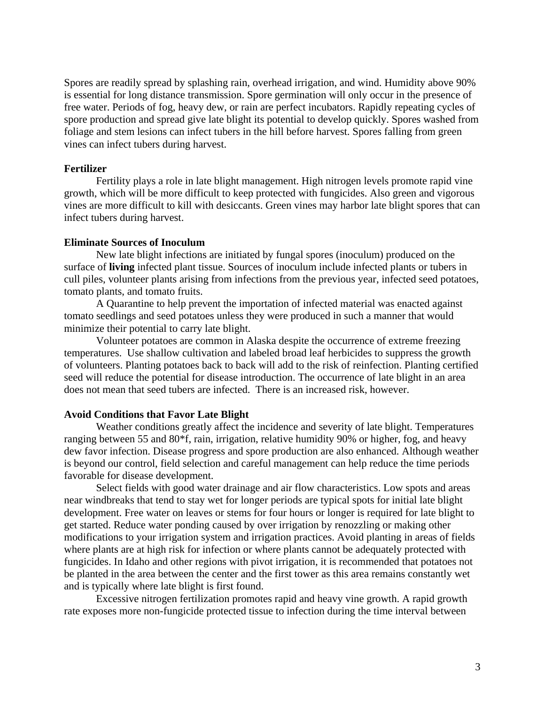Spores are readily spread by splashing rain, overhead irrigation, and wind. Humidity above 90% is essential for long distance transmission. Spore germination will only occur in the presence of free water. Periods of fog, heavy dew, or rain are perfect incubators. Rapidly repeating cycles of spore production and spread give late blight its potential to develop quickly. Spores washed from foliage and stem lesions can infect tubers in the hill before harvest. Spores falling from green vines can infect tubers during harvest.

# **Fertilizer**

Fertility plays a role in late blight management. High nitrogen levels promote rapid vine growth, which will be more difficult to keep protected with fungicides. Also green and vigorous vines are more difficult to kill with desiccants. Green vines may harbor late blight spores that can infect tubers during harvest.

# **Eliminate Sources of Inoculum**

New late blight infections are initiated by fungal spores (inoculum) produced on the surface of **living** infected plant tissue. Sources of inoculum include infected plants or tubers in cull piles, volunteer plants arising from infections from the previous year, infected seed potatoes, tomato plants, and tomato fruits.

A Quarantine to help prevent the importation of infected material was enacted against tomato seedlings and seed potatoes unless they were produced in such a manner that would minimize their potential to carry late blight.

Volunteer potatoes are common in Alaska despite the occurrence of extreme freezing temperatures. Use shallow cultivation and labeled broad leaf herbicides to suppress the growth of volunteers. Planting potatoes back to back will add to the risk of reinfection. Planting certified seed will reduce the potential for disease introduction. The occurrence of late blight in an area does not mean that seed tubers are infected. There is an increased risk, however.

### **Avoid Conditions that Favor Late Blight**

Weather conditions greatly affect the incidence and severity of late blight. Temperatures ranging between 55 and 80\*f, rain, irrigation, relative humidity 90% or higher, fog, and heavy dew favor infection. Disease progress and spore production are also enhanced. Although weather is beyond our control, field selection and careful management can help reduce the time periods favorable for disease development.

Select fields with good water drainage and air flow characteristics. Low spots and areas near windbreaks that tend to stay wet for longer periods are typical spots for initial late blight development. Free water on leaves or stems for four hours or longer is required for late blight to get started. Reduce water ponding caused by over irrigation by renozzling or making other modifications to your irrigation system and irrigation practices. Avoid planting in areas of fields where plants are at high risk for infection or where plants cannot be adequately protected with fungicides. In Idaho and other regions with pivot irrigation, it is recommended that potatoes not be planted in the area between the center and the first tower as this area remains constantly wet and is typically where late blight is first found.

Excessive nitrogen fertilization promotes rapid and heavy vine growth. A rapid growth rate exposes more non-fungicide protected tissue to infection during the time interval between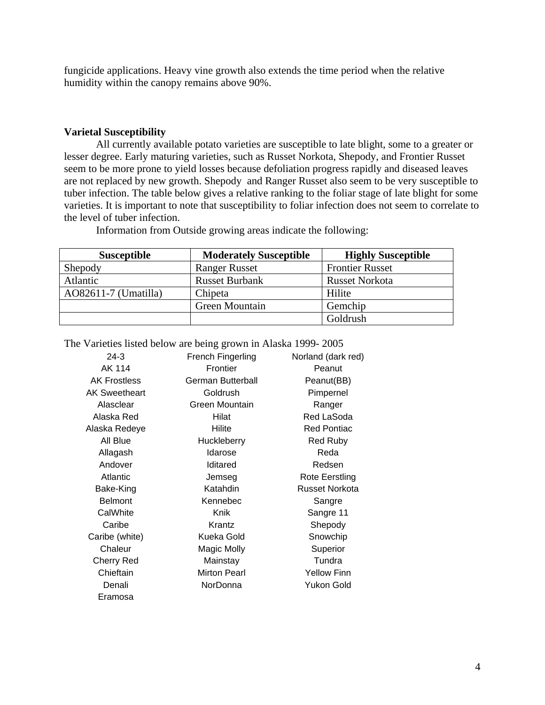fungicide applications. Heavy vine growth also extends the time period when the relative humidity within the canopy remains above 90%.

# **Varietal Susceptibility**

All currently available potato varieties are susceptible to late blight, some to a greater or lesser degree. Early maturing varieties, such as Russet Norkota, Shepody, and Frontier Russet seem to be more prone to yield losses because defoliation progress rapidly and diseased leaves are not replaced by new growth. Shepody and Ranger Russet also seem to be very susceptible to tuber infection. The table below gives a relative ranking to the foliar stage of late blight for some varieties. It is important to note that susceptibility to foliar infection does not seem to correlate to the level of tuber infection.

| <b>Susceptible</b>     | <b>Moderately Susceptible</b> | <b>Highly Susceptible</b> |
|------------------------|-------------------------------|---------------------------|
| Shepody                | <b>Ranger Russet</b>          | <b>Frontier Russet</b>    |
| Atlantic               | <b>Russet Burbank</b>         | <b>Russet Norkota</b>     |
| $AO82611-7$ (Umatilla) | Chipeta                       | Hilite                    |
|                        | Green Mountain                | Gemchip                   |
|                        |                               | Goldrush                  |

Information from Outside growing areas indicate the following:

| various noted below are being grown in Frasha $1222 - 2005$ |                          |                       |
|-------------------------------------------------------------|--------------------------|-----------------------|
| $24-3$                                                      | French Fingerling        | Norland (dark red)    |
| AK 114                                                      | Frontier                 | Peanut                |
| <b>AK Frostless</b>                                         | <b>German Butterball</b> | Peanut(BB)            |
| <b>AK Sweetheart</b>                                        | Goldrush                 | Pimpernel             |
| Alasclear                                                   | Green Mountain           | Ranger                |
| Alaska Red                                                  | Hilat                    | Red LaSoda            |
| Alaska Redeye                                               | Hilite                   | <b>Red Pontiac</b>    |
| All Blue                                                    | Huckleberry              | <b>Red Ruby</b>       |
| Allagash                                                    | Idarose                  | Reda                  |
| Andover                                                     | Iditared                 | Redsen                |
| Atlantic                                                    | Jemseg                   | Rote Eerstling        |
| Bake-King                                                   | Katahdin                 | <b>Russet Norkota</b> |
| <b>Belmont</b>                                              | Kennebec                 | Sangre                |
| CalWhite                                                    | Knik                     | Sangre 11             |
| Caribe                                                      | Krantz                   | Shepody               |
| Caribe (white)                                              | Kueka Gold               | Snowchip              |
| Chaleur                                                     | Magic Molly              | Superior              |
| <b>Cherry Red</b>                                           | Mainstay                 | Tundra                |
| Chieftain                                                   | <b>Mirton Pearl</b>      | <b>Yellow Finn</b>    |
| Denali                                                      | NorDonna                 | Yukon Gold            |
| Eramosa                                                     |                          |                       |
|                                                             |                          |                       |

The Varieties listed below are being grown in Alaska 1999- 2005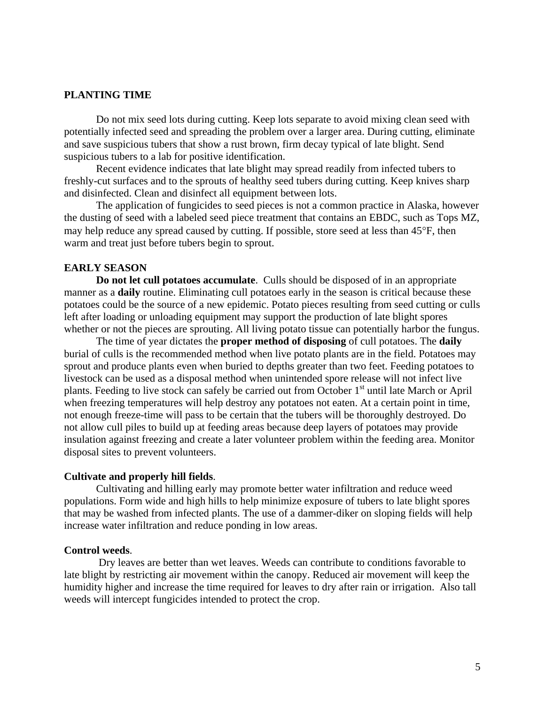# **PLANTING TIME**

Do not mix seed lots during cutting. Keep lots separate to avoid mixing clean seed with potentially infected seed and spreading the problem over a larger area. During cutting, eliminate and save suspicious tubers that show a rust brown, firm decay typical of late blight. Send suspicious tubers to a lab for positive identification.

Recent evidence indicates that late blight may spread readily from infected tubers to freshly-cut surfaces and to the sprouts of healthy seed tubers during cutting. Keep knives sharp and disinfected. Clean and disinfect all equipment between lots.

The application of fungicides to seed pieces is not a common practice in Alaska, however the dusting of seed with a labeled seed piece treatment that contains an EBDC, such as Tops MZ, may help reduce any spread caused by cutting. If possible, store seed at less than 45°F, then warm and treat just before tubers begin to sprout.

# **EARLY SEASON**

**Do not let cull potatoes accumulate**. Culls should be disposed of in an appropriate manner as a **daily** routine. Eliminating cull potatoes early in the season is critical because these potatoes could be the source of a new epidemic. Potato pieces resulting from seed cutting or culls left after loading or unloading equipment may support the production of late blight spores whether or not the pieces are sprouting. All living potato tissue can potentially harbor the fungus.

The time of year dictates the **proper method of disposing** of cull potatoes. The **daily** burial of culls is the recommended method when live potato plants are in the field. Potatoes may sprout and produce plants even when buried to depths greater than two feet. Feeding potatoes to livestock can be used as a disposal method when unintended spore release will not infect live plants. Feeding to live stock can safely be carried out from October  $1<sup>st</sup>$  until late March or April when freezing temperatures will help destroy any potatoes not eaten. At a certain point in time, not enough freeze-time will pass to be certain that the tubers will be thoroughly destroyed. Do not allow cull piles to build up at feeding areas because deep layers of potatoes may provide insulation against freezing and create a later volunteer problem within the feeding area. Monitor disposal sites to prevent volunteers.

#### **Cultivate and properly hill fields**.

Cultivating and hilling early may promote better water infiltration and reduce weed populations. Form wide and high hills to help minimize exposure of tubers to late blight spores that may be washed from infected plants. The use of a dammer-diker on sloping fields will help increase water infiltration and reduce ponding in low areas.

## **Control weeds**.

 Dry leaves are better than wet leaves. Weeds can contribute to conditions favorable to late blight by restricting air movement within the canopy. Reduced air movement will keep the humidity higher and increase the time required for leaves to dry after rain or irrigation. Also tall weeds will intercept fungicides intended to protect the crop.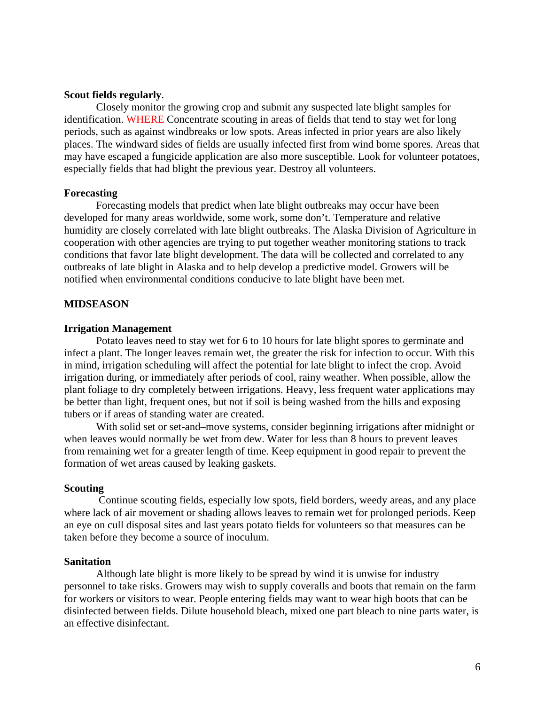# **Scout fields regularly**.

Closely monitor the growing crop and submit any suspected late blight samples for identification. WHERE Concentrate scouting in areas of fields that tend to stay wet for long periods, such as against windbreaks or low spots. Areas infected in prior years are also likely places. The windward sides of fields are usually infected first from wind borne spores. Areas that may have escaped a fungicide application are also more susceptible. Look for volunteer potatoes, especially fields that had blight the previous year. Destroy all volunteers.

#### **Forecasting**

Forecasting models that predict when late blight outbreaks may occur have been developed for many areas worldwide, some work, some don't. Temperature and relative humidity are closely correlated with late blight outbreaks. The Alaska Division of Agriculture in cooperation with other agencies are trying to put together weather monitoring stations to track conditions that favor late blight development. The data will be collected and correlated to any outbreaks of late blight in Alaska and to help develop a predictive model. Growers will be notified when environmental conditions conducive to late blight have been met.

# **MIDSEASON**

## **Irrigation Management**

Potato leaves need to stay wet for 6 to 10 hours for late blight spores to germinate and infect a plant. The longer leaves remain wet, the greater the risk for infection to occur. With this in mind, irrigation scheduling will affect the potential for late blight to infect the crop. Avoid irrigation during, or immediately after periods of cool, rainy weather. When possible, allow the plant foliage to dry completely between irrigations. Heavy, less frequent water applications may be better than light, frequent ones, but not if soil is being washed from the hills and exposing tubers or if areas of standing water are created.

With solid set or set-and–move systems, consider beginning irrigations after midnight or when leaves would normally be wet from dew. Water for less than 8 hours to prevent leaves from remaining wet for a greater length of time. Keep equipment in good repair to prevent the formation of wet areas caused by leaking gaskets.

#### **Scouting**

 Continue scouting fields, especially low spots, field borders, weedy areas, and any place where lack of air movement or shading allows leaves to remain wet for prolonged periods. Keep an eye on cull disposal sites and last years potato fields for volunteers so that measures can be taken before they become a source of inoculum.

#### **Sanitation**

 Although late blight is more likely to be spread by wind it is unwise for industry personnel to take risks. Growers may wish to supply coveralls and boots that remain on the farm for workers or visitors to wear. People entering fields may want to wear high boots that can be disinfected between fields. Dilute household bleach, mixed one part bleach to nine parts water, is an effective disinfectant.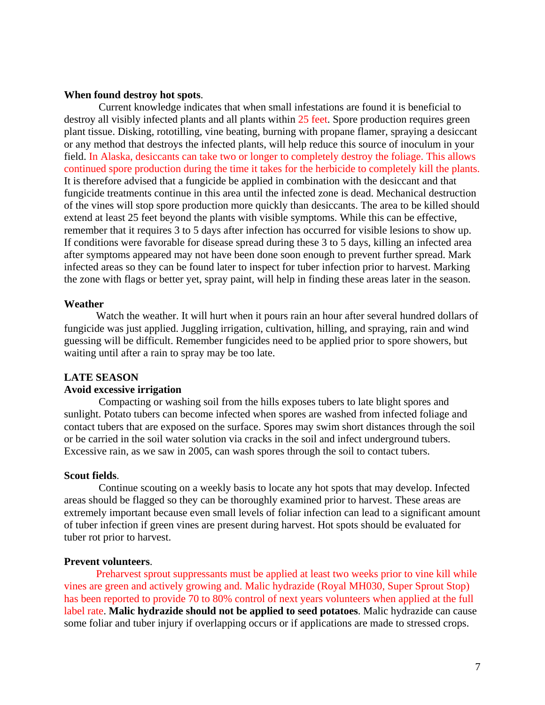### **When found destroy hot spots**.

 Current knowledge indicates that when small infestations are found it is beneficial to destroy all visibly infected plants and all plants within 25 feet. Spore production requires green plant tissue. Disking, rototilling, vine beating, burning with propane flamer, spraying a desiccant or any method that destroys the infected plants, will help reduce this source of inoculum in your field. In Alaska, desiccants can take two or longer to completely destroy the foliage. This allows continued spore production during the time it takes for the herbicide to completely kill the plants. It is therefore advised that a fungicide be applied in combination with the desiccant and that fungicide treatments continue in this area until the infected zone is dead. Mechanical destruction of the vines will stop spore production more quickly than desiccants. The area to be killed should extend at least 25 feet beyond the plants with visible symptoms. While this can be effective, remember that it requires 3 to 5 days after infection has occurred for visible lesions to show up. If conditions were favorable for disease spread during these 3 to 5 days, killing an infected area after symptoms appeared may not have been done soon enough to prevent further spread. Mark infected areas so they can be found later to inspect for tuber infection prior to harvest. Marking the zone with flags or better yet, spray paint, will help in finding these areas later in the season.

#### **Weather**

Watch the weather. It will hurt when it pours rain an hour after several hundred dollars of fungicide was just applied. Juggling irrigation, cultivation, hilling, and spraying, rain and wind guessing will be difficult. Remember fungicides need to be applied prior to spore showers, but waiting until after a rain to spray may be too late.

#### **LATE SEASON**

# **Avoid excessive irrigation**

 Compacting or washing soil from the hills exposes tubers to late blight spores and sunlight. Potato tubers can become infected when spores are washed from infected foliage and contact tubers that are exposed on the surface. Spores may swim short distances through the soil or be carried in the soil water solution via cracks in the soil and infect underground tubers. Excessive rain, as we saw in 2005, can wash spores through the soil to contact tubers.

#### **Scout fields**.

 Continue scouting on a weekly basis to locate any hot spots that may develop. Infected areas should be flagged so they can be thoroughly examined prior to harvest. These areas are extremely important because even small levels of foliar infection can lead to a significant amount of tuber infection if green vines are present during harvest. Hot spots should be evaluated for tuber rot prior to harvest.

#### **Prevent volunteers**.

Preharvest sprout suppressants must be applied at least two weeks prior to vine kill while vines are green and actively growing and. Malic hydrazide (Royal MH030, Super Sprout Stop) has been reported to provide 70 to 80% control of next years volunteers when applied at the full label rate. **Malic hydrazide should not be applied to seed potatoes**. Malic hydrazide can cause some foliar and tuber injury if overlapping occurs or if applications are made to stressed crops.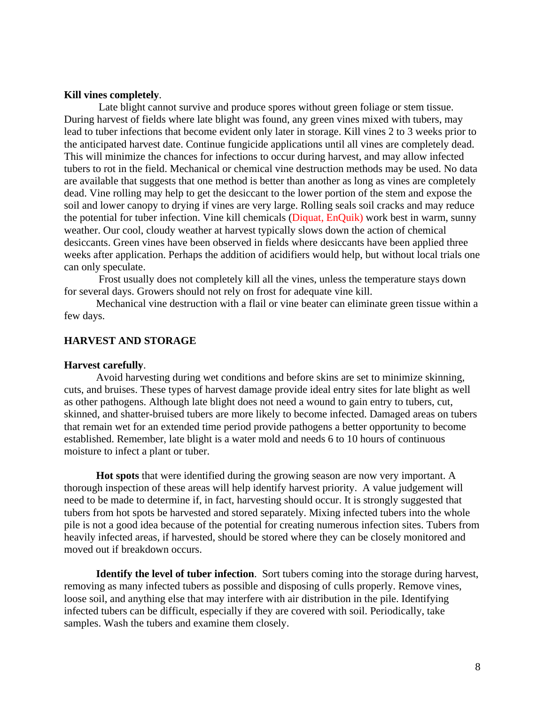### **Kill vines completely**.

 Late blight cannot survive and produce spores without green foliage or stem tissue. During harvest of fields where late blight was found, any green vines mixed with tubers, may lead to tuber infections that become evident only later in storage. Kill vines 2 to 3 weeks prior to the anticipated harvest date. Continue fungicide applications until all vines are completely dead. This will minimize the chances for infections to occur during harvest, and may allow infected tubers to rot in the field. Mechanical or chemical vine destruction methods may be used. No data are available that suggests that one method is better than another as long as vines are completely dead. Vine rolling may help to get the desiccant to the lower portion of the stem and expose the soil and lower canopy to drying if vines are very large. Rolling seals soil cracks and may reduce the potential for tuber infection. Vine kill chemicals (Diquat, EnQuik) work best in warm, sunny weather. Our cool, cloudy weather at harvest typically slows down the action of chemical desiccants. Green vines have been observed in fields where desiccants have been applied three weeks after application. Perhaps the addition of acidifiers would help, but without local trials one can only speculate.

 Frost usually does not completely kill all the vines, unless the temperature stays down for several days. Growers should not rely on frost for adequate vine kill.

Mechanical vine destruction with a flail or vine beater can eliminate green tissue within a few days.

# **HARVEST AND STORAGE**

#### **Harvest carefully**.

Avoid harvesting during wet conditions and before skins are set to minimize skinning, cuts, and bruises. These types of harvest damage provide ideal entry sites for late blight as well as other pathogens. Although late blight does not need a wound to gain entry to tubers, cut, skinned, and shatter-bruised tubers are more likely to become infected. Damaged areas on tubers that remain wet for an extended time period provide pathogens a better opportunity to become established. Remember, late blight is a water mold and needs 6 to 10 hours of continuous moisture to infect a plant or tuber.

**Hot spots** that were identified during the growing season are now very important. A thorough inspection of these areas will help identify harvest priority. A value judgement will need to be made to determine if, in fact, harvesting should occur. It is strongly suggested that tubers from hot spots be harvested and stored separately. Mixing infected tubers into the whole pile is not a good idea because of the potential for creating numerous infection sites. Tubers from heavily infected areas, if harvested, should be stored where they can be closely monitored and moved out if breakdown occurs.

**Identify the level of tuber infection**. Sort tubers coming into the storage during harvest, removing as many infected tubers as possible and disposing of culls properly. Remove vines, loose soil, and anything else that may interfere with air distribution in the pile. Identifying infected tubers can be difficult, especially if they are covered with soil. Periodically, take samples. Wash the tubers and examine them closely.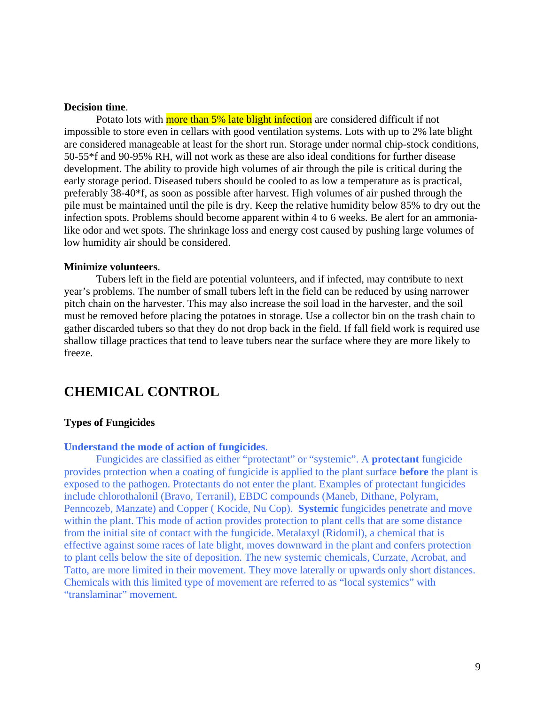# **Decision time**.

Potato lots with more than 5% late blight infection are considered difficult if not impossible to store even in cellars with good ventilation systems. Lots with up to 2% late blight are considered manageable at least for the short run. Storage under normal chip-stock conditions, 50-55\*f and 90-95% RH, will not work as these are also ideal conditions for further disease development. The ability to provide high volumes of air through the pile is critical during the early storage period. Diseased tubers should be cooled to as low a temperature as is practical, preferably 38-40\*f, as soon as possible after harvest. High volumes of air pushed through the pile must be maintained until the pile is dry. Keep the relative humidity below 85% to dry out the infection spots. Problems should become apparent within 4 to 6 weeks. Be alert for an ammonialike odor and wet spots. The shrinkage loss and energy cost caused by pushing large volumes of low humidity air should be considered.

#### **Minimize volunteers**.

Tubers left in the field are potential volunteers, and if infected, may contribute to next year's problems. The number of small tubers left in the field can be reduced by using narrower pitch chain on the harvester. This may also increase the soil load in the harvester, and the soil must be removed before placing the potatoes in storage. Use a collector bin on the trash chain to gather discarded tubers so that they do not drop back in the field. If fall field work is required use shallow tillage practices that tend to leave tubers near the surface where they are more likely to freeze.

# **CHEMICAL CONTROL**

# **Types of Fungicides**

#### **Understand the mode of action of fungicides**.

Fungicides are classified as either "protectant" or "systemic". A **protectant** fungicide provides protection when a coating of fungicide is applied to the plant surface **before** the plant is exposed to the pathogen. Protectants do not enter the plant. Examples of protectant fungicides include chlorothalonil (Bravo, Terranil), EBDC compounds (Maneb, Dithane, Polyram, Penncozeb, Manzate) and Copper ( Kocide, Nu Cop). **Systemic** fungicides penetrate and move within the plant. This mode of action provides protection to plant cells that are some distance from the initial site of contact with the fungicide. Metalaxyl (Ridomil), a chemical that is effective against some races of late blight, moves downward in the plant and confers protection to plant cells below the site of deposition. The new systemic chemicals, Curzate, Acrobat, and Tatto, are more limited in their movement. They move laterally or upwards only short distances. Chemicals with this limited type of movement are referred to as "local systemics" with "translaminar" movement.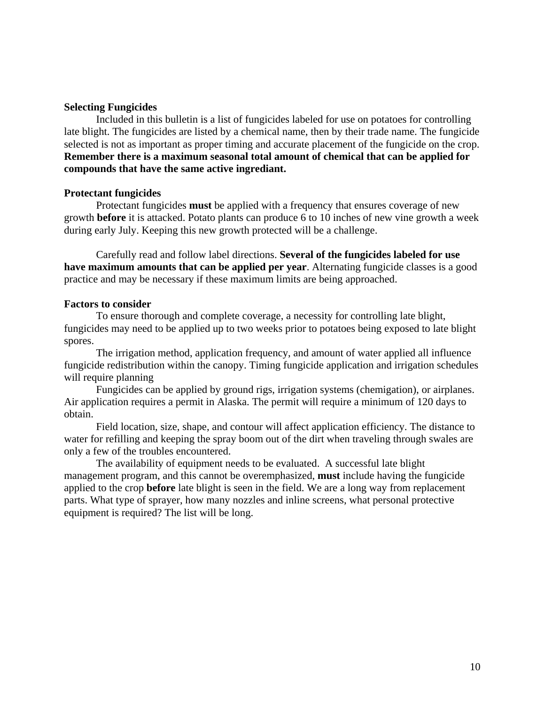# **Selecting Fungicides**

Included in this bulletin is a list of fungicides labeled for use on potatoes for controlling late blight. The fungicides are listed by a chemical name, then by their trade name. The fungicide selected is not as important as proper timing and accurate placement of the fungicide on the crop. **Remember there is a maximum seasonal total amount of chemical that can be applied for compounds that have the same active ingrediant.**

# **Protectant fungicides**

Protectant fungicides **must** be applied with a frequency that ensures coverage of new growth **before** it is attacked. Potato plants can produce 6 to 10 inches of new vine growth a week during early July. Keeping this new growth protected will be a challenge.

Carefully read and follow label directions. **Several of the fungicides labeled for use have maximum amounts that can be applied per year**. Alternating fungicide classes is a good practice and may be necessary if these maximum limits are being approached.

# **Factors to consider**

To ensure thorough and complete coverage, a necessity for controlling late blight, fungicides may need to be applied up to two weeks prior to potatoes being exposed to late blight spores.

The irrigation method, application frequency, and amount of water applied all influence fungicide redistribution within the canopy. Timing fungicide application and irrigation schedules will require planning

Fungicides can be applied by ground rigs, irrigation systems (chemigation), or airplanes. Air application requires a permit in Alaska. The permit will require a minimum of 120 days to obtain.

Field location, size, shape, and contour will affect application efficiency. The distance to water for refilling and keeping the spray boom out of the dirt when traveling through swales are only a few of the troubles encountered.

The availability of equipment needs to be evaluated. A successful late blight management program, and this cannot be overemphasized, **must** include having the fungicide applied to the crop **before** late blight is seen in the field. We are a long way from replacement parts. What type of sprayer, how many nozzles and inline screens, what personal protective equipment is required? The list will be long.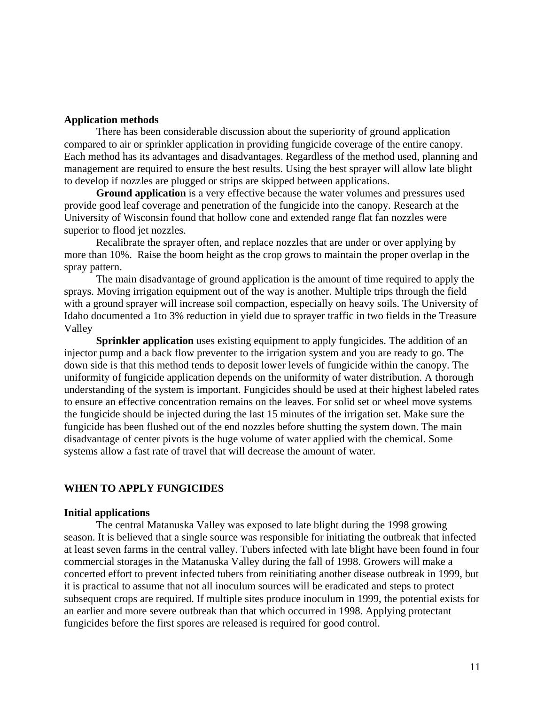# **Application methods**

There has been considerable discussion about the superiority of ground application compared to air or sprinkler application in providing fungicide coverage of the entire canopy. Each method has its advantages and disadvantages. Regardless of the method used, planning and management are required to ensure the best results. Using the best sprayer will allow late blight to develop if nozzles are plugged or strips are skipped between applications.

**Ground application** is a very effective because the water volumes and pressures used provide good leaf coverage and penetration of the fungicide into the canopy. Research at the University of Wisconsin found that hollow cone and extended range flat fan nozzles were superior to flood jet nozzles.

Recalibrate the sprayer often, and replace nozzles that are under or over applying by more than 10%. Raise the boom height as the crop grows to maintain the proper overlap in the spray pattern.

The main disadvantage of ground application is the amount of time required to apply the sprays. Moving irrigation equipment out of the way is another. Multiple trips through the field with a ground sprayer will increase soil compaction, especially on heavy soils. The University of Idaho documented a 1to 3% reduction in yield due to sprayer traffic in two fields in the Treasure Valley

**Sprinkler application** uses existing equipment to apply fungicides. The addition of an injector pump and a back flow preventer to the irrigation system and you are ready to go. The down side is that this method tends to deposit lower levels of fungicide within the canopy. The uniformity of fungicide application depends on the uniformity of water distribution. A thorough understanding of the system is important. Fungicides should be used at their highest labeled rates to ensure an effective concentration remains on the leaves. For solid set or wheel move systems the fungicide should be injected during the last 15 minutes of the irrigation set. Make sure the fungicide has been flushed out of the end nozzles before shutting the system down. The main disadvantage of center pivots is the huge volume of water applied with the chemical. Some systems allow a fast rate of travel that will decrease the amount of water.

# **WHEN TO APPLY FUNGICIDES**

#### **Initial applications**

The central Matanuska Valley was exposed to late blight during the 1998 growing season. It is believed that a single source was responsible for initiating the outbreak that infected at least seven farms in the central valley. Tubers infected with late blight have been found in four commercial storages in the Matanuska Valley during the fall of 1998. Growers will make a concerted effort to prevent infected tubers from reinitiating another disease outbreak in 1999, but it is practical to assume that not all inoculum sources will be eradicated and steps to protect subsequent crops are required. If multiple sites produce inoculum in 1999, the potential exists for an earlier and more severe outbreak than that which occurred in 1998. Applying protectant fungicides before the first spores are released is required for good control.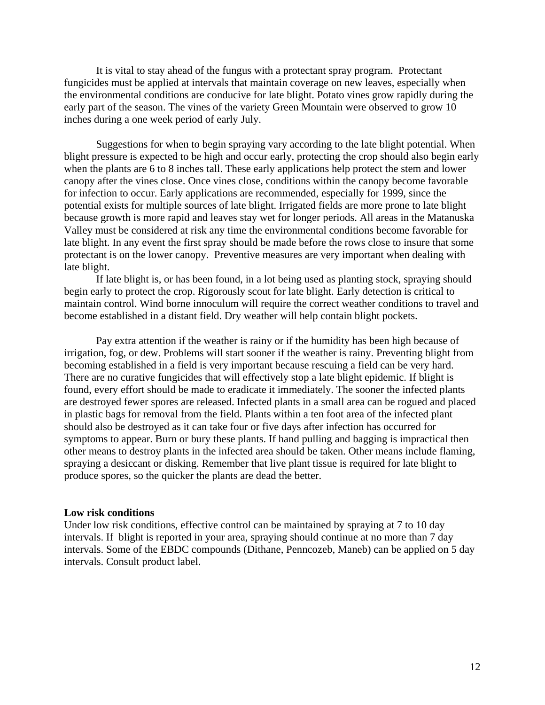It is vital to stay ahead of the fungus with a protectant spray program. Protectant fungicides must be applied at intervals that maintain coverage on new leaves, especially when the environmental conditions are conducive for late blight. Potato vines grow rapidly during the early part of the season. The vines of the variety Green Mountain were observed to grow 10 inches during a one week period of early July.

Suggestions for when to begin spraying vary according to the late blight potential. When blight pressure is expected to be high and occur early, protecting the crop should also begin early when the plants are 6 to 8 inches tall. These early applications help protect the stem and lower canopy after the vines close. Once vines close, conditions within the canopy become favorable for infection to occur. Early applications are recommended, especially for 1999, since the potential exists for multiple sources of late blight. Irrigated fields are more prone to late blight because growth is more rapid and leaves stay wet for longer periods. All areas in the Matanuska Valley must be considered at risk any time the environmental conditions become favorable for late blight. In any event the first spray should be made before the rows close to insure that some protectant is on the lower canopy. Preventive measures are very important when dealing with late blight.

If late blight is, or has been found, in a lot being used as planting stock, spraying should begin early to protect the crop. Rigorously scout for late blight. Early detection is critical to maintain control. Wind borne innoculum will require the correct weather conditions to travel and become established in a distant field. Dry weather will help contain blight pockets.

Pay extra attention if the weather is rainy or if the humidity has been high because of irrigation, fog, or dew. Problems will start sooner if the weather is rainy. Preventing blight from becoming established in a field is very important because rescuing a field can be very hard. There are no curative fungicides that will effectively stop a late blight epidemic. If blight is found, every effort should be made to eradicate it immediately. The sooner the infected plants are destroyed fewer spores are released. Infected plants in a small area can be rogued and placed in plastic bags for removal from the field. Plants within a ten foot area of the infected plant should also be destroyed as it can take four or five days after infection has occurred for symptoms to appear. Burn or bury these plants. If hand pulling and bagging is impractical then other means to destroy plants in the infected area should be taken. Other means include flaming, spraying a desiccant or disking. Remember that live plant tissue is required for late blight to produce spores, so the quicker the plants are dead the better.

#### **Low risk conditions**

Under low risk conditions, effective control can be maintained by spraying at 7 to 10 day intervals. If blight is reported in your area, spraying should continue at no more than 7 day intervals. Some of the EBDC compounds (Dithane, Penncozeb, Maneb) can be applied on 5 day intervals. Consult product label.